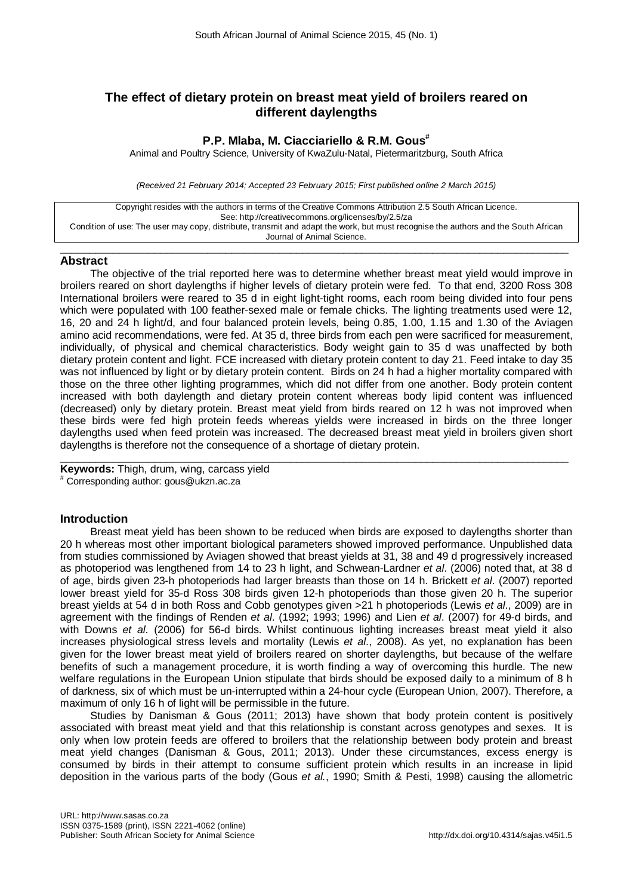# **The effect of dietary protein on breast meat yield of broilers reared on different daylengths**

## **P.P. Mlaba, M. Ciacciariello & R.M. Gous#**

Animal and Poultry Science, University of KwaZulu-Natal, Pietermaritzburg, South Africa

*(Received 21 February 2014; Accepted 23 February 2015; First published online 2 March 2015)*

Copyright resides with the authors in terms of the Creative Commons Attribution 2.5 South African Licence. See:<http://creativecommons.org/licenses/by/2.5/za> Condition of use: The user may copy, distribute, transmit and adapt the work, but must recognise the authors and the South African Journal of Animal Science.

 $\_$  ,  $\_$  ,  $\_$  ,  $\_$  ,  $\_$  ,  $\_$  ,  $\_$  ,  $\_$  ,  $\_$  ,  $\_$  ,  $\_$  ,  $\_$  ,  $\_$  ,  $\_$  ,  $\_$  ,  $\_$  ,  $\_$  ,  $\_$  ,  $\_$  ,  $\_$  ,  $\_$  ,  $\_$  ,  $\_$  ,  $\_$  ,  $\_$  ,  $\_$  ,  $\_$  ,  $\_$  ,  $\_$  ,  $\_$  ,  $\_$  ,  $\_$  ,  $\_$  ,  $\_$  ,  $\_$  ,  $\_$  ,  $\_$  ,

### **Abstract**

The objective of the trial reported here was to determine whether breast meat yield would improve in broilers reared on short daylengths if higher levels of dietary protein were fed. To that end, 3200 Ross 308 International broilers were reared to 35 d in eight light-tight rooms, each room being divided into four pens which were populated with 100 feather-sexed male or female chicks. The lighting treatments used were 12, 16, 20 and 24 h light/d, and four balanced protein levels, being 0.85, 1.00, 1.15 and 1.30 of the Aviagen amino acid recommendations, were fed. At 35 d, three birds from each pen were sacrificed for measurement, individually, of physical and chemical characteristics. Body weight gain to 35 d was unaffected by both dietary protein content and light. FCE increased with dietary protein content to day 21. Feed intake to day 35 was not influenced by light or by dietary protein content. Birds on 24 h had a higher mortality compared with those on the three other lighting programmes, which did not differ from one another. Body protein content increased with both daylength and dietary protein content whereas body lipid content was influenced (decreased) only by dietary protein. Breast meat yield from birds reared on 12 h was not improved when these birds were fed high protein feeds whereas yields were increased in birds on the three longer daylengths used when feed protein was increased. The decreased breast meat yield in broilers given short daylengths is therefore not the consequence of a shortage of dietary protein.

 $\_$  , and the set of the set of the set of the set of the set of the set of the set of the set of the set of the set of the set of the set of the set of the set of the set of the set of the set of the set of the set of th

**Keywords:** Thigh, drum, wing, carcass yield # Corresponding author: gous@ukzn.ac.za

### **Introduction**

Breast meat yield has been shown to be reduced when birds are exposed to daylengths shorter than 20 h whereas most other important biological parameters showed improved performance. Unpublished data from studies commissioned by Aviagen showed that breast yields at 31, 38 and 49 d progressively increased as photoperiod was lengthened from 14 to 23 h light, and Schwean-Lardner *et al*. (2006) noted that, at 38 d of age, birds given 23-h photoperiods had larger breasts than those on 14 h. Brickett *et al*. (2007) reported lower breast yield for 35-d Ross 308 birds given 12-h photoperiods than those given 20 h. The superior breast yields at 54 d in both Ross and Cobb genotypes given >21 h photoperiods (Lewis *et al*., 2009) are in agreement with the findings of Renden *et al*. (1992; 1993; 1996) and Lien *et al*. (2007) for 49-d birds, and with Downs *et al*. (2006) for 56-d birds. Whilst continuous lighting increases breast meat yield it also increases physiological stress levels and mortality (Lewis *et al*., 2008). As yet, no explanation has been given for the lower breast meat yield of broilers reared on shorter daylengths, but because of the welfare benefits of such a management procedure, it is worth finding a way of overcoming this hurdle. The new welfare regulations in the European Union stipulate that birds should be exposed daily to a minimum of 8 h of darkness, six of which must be un-interrupted within a 24-hour cycle (European Union, 2007). Therefore, a maximum of only 16 h of light will be permissible in the future.

Studies by Danisman & Gous (2011; 2013) have shown that body protein content is positively associated with breast meat yield and that this relationship is constant across genotypes and sexes. It is only when low protein feeds are offered to broilers that the relationship between body protein and breast meat yield changes (Danisman & Gous, 2011; 2013). Under these circumstances, excess energy is consumed by birds in their attempt to consume sufficient protein which results in an increase in lipid deposition in the various parts of the body (Gous *et al.*, 1990; Smith & Pesti, 1998) causing the allometric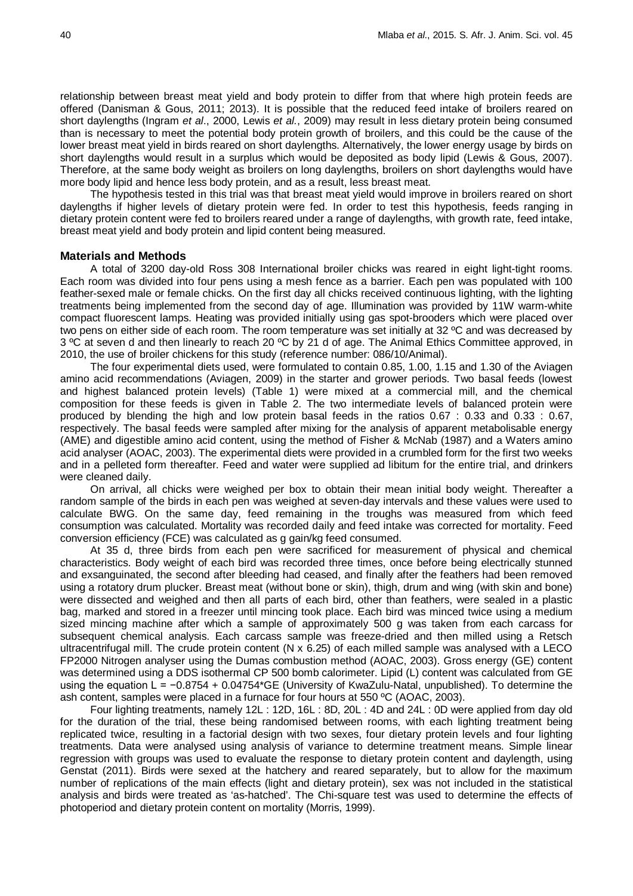relationship between breast meat yield and body protein to differ from that where high protein feeds are offered (Danisman & Gous, 2011; 2013). It is possible that the reduced feed intake of broilers reared on short daylengths (Ingram *et al*., 2000, Lewis *et al.*, 2009) may result in less dietary protein being consumed than is necessary to meet the potential body protein growth of broilers, and this could be the cause of the lower breast meat yield in birds reared on short daylengths. Alternatively, the lower energy usage by birds on short daylengths would result in a surplus which would be deposited as body lipid (Lewis & Gous, 2007). Therefore, at the same body weight as broilers on long daylengths, broilers on short daylengths would have more body lipid and hence less body protein, and as a result, less breast meat.

The hypothesis tested in this trial was that breast meat yield would improve in broilers reared on short daylengths if higher levels of dietary protein were fed. In order to test this hypothesis, feeds ranging in dietary protein content were fed to broilers reared under a range of daylengths, with growth rate, feed intake, breast meat yield and body protein and lipid content being measured.

#### **Materials and Methods**

A total of 3200 day-old Ross 308 International broiler chicks was reared in eight light-tight rooms. Each room was divided into four pens using a mesh fence as a barrier. Each pen was populated with 100 feather-sexed male or female chicks. On the first day all chicks received continuous lighting, with the lighting treatments being implemented from the second day of age. Illumination was provided by 11W warm-white compact fluorescent lamps. Heating was provided initially using gas spot-brooders which were placed over two pens on either side of each room. The room temperature was set initially at 32 °C and was decreased by 3 °C at seven d and then linearly to reach 20 °C by 21 d of age. The Animal Ethics Committee approved, in 2010, the use of broiler chickens for this study (reference number: 086/10/Animal).

The four experimental diets used, were formulated to contain 0.85, 1.00, 1.15 and 1.30 of the Aviagen amino acid recommendations (Aviagen, 2009) in the starter and grower periods. Two basal feeds (lowest and highest balanced protein levels) (Table 1) were mixed at a commercial mill, and the chemical composition for these feeds is given in Table 2. The two intermediate levels of balanced protein were produced by blending the high and low protein basal feeds in the ratios 0.67 : 0.33 and 0.33 : 0.67, respectively. The basal feeds were sampled after mixing for the analysis of apparent metabolisable energy (AME) and digestible amino acid content, using the method of Fisher & McNab (1987) and a Waters amino acid analyser (AOAC, 2003). The experimental diets were provided in a crumbled form for the first two weeks and in a pelleted form thereafter. Feed and water were supplied ad libitum for the entire trial, and drinkers were cleaned daily.

On arrival, all chicks were weighed per box to obtain their mean initial body weight. Thereafter a random sample of the birds in each pen was weighed at seven-day intervals and these values were used to calculate BWG. On the same day, feed remaining in the troughs was measured from which feed consumption was calculated. Mortality was recorded daily and feed intake was corrected for mortality. Feed conversion efficiency (FCE) was calculated as g gain/kg feed consumed.

At 35 d, three birds from each pen were sacrificed for measurement of physical and chemical characteristics. Body weight of each bird was recorded three times, once before being electrically stunned and exsanguinated, the second after bleeding had ceased, and finally after the feathers had been removed using a rotatory drum plucker. Breast meat (without bone or skin), thigh, drum and wing (with skin and bone) were dissected and weighed and then all parts of each bird, other than feathers, were sealed in a plastic bag, marked and stored in a freezer until mincing took place. Each bird was minced twice using a medium sized mincing machine after which a sample of approximately 500 g was taken from each carcass for subsequent chemical analysis. Each carcass sample was freeze-dried and then milled using a Retsch ultracentrifugal mill. The crude protein content (N x 6.25) of each milled sample was analysed with a LECO FP2000 Nitrogen analyser using the Dumas combustion method (AOAC, 2003). Gross energy (GE) content was determined using a DDS isothermal CP 500 bomb calorimeter. Lipid (L) content was calculated from GE using the equation L = −0.8754 + 0.04754\*GE (University of KwaZulu-Natal, unpublished). To determine the ash content, samples were placed in a furnace for four hours at 550 ºC (AOAC, 2003).

Four lighting treatments, namely 12L : 12D, 16L : 8D, 20L : 4D and 24L : 0D were applied from day old for the duration of the trial, these being randomised between rooms, with each lighting treatment being replicated twice, resulting in a factorial design with two sexes, four dietary protein levels and four lighting treatments. Data were analysed using analysis of variance to determine treatment means. Simple linear regression with groups was used to evaluate the response to dietary protein content and daylength, using Genstat (2011). Birds were sexed at the hatchery and reared separately, but to allow for the maximum number of replications of the main effects (light and dietary protein), sex was not included in the statistical analysis and birds were treated as 'as-hatched'. The Chi-square test was used to determine the effects of photoperiod and dietary protein content on mortality (Morris, 1999).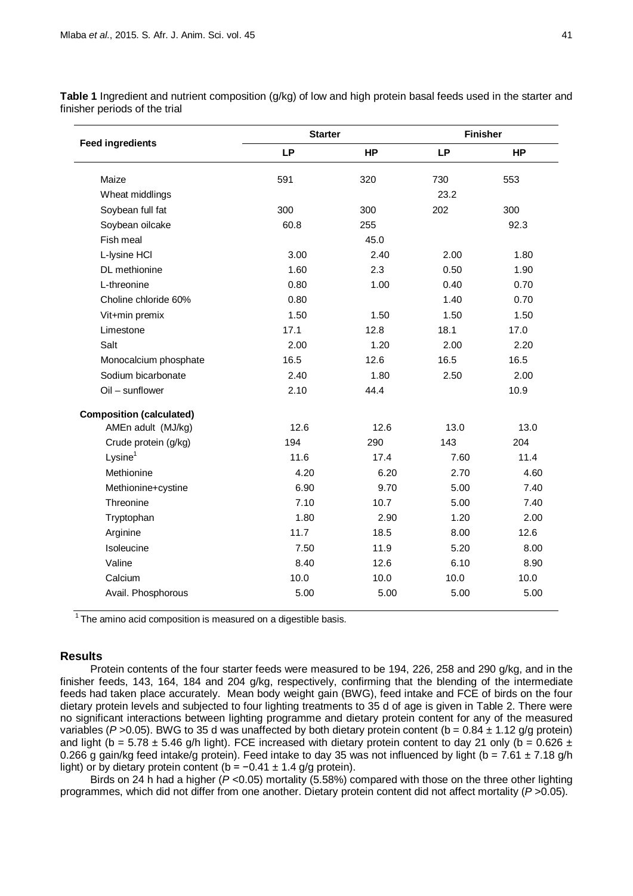| Table 1 Ingredient and nutrient composition (g/kg) of low and high protein basal feeds used in the starter and |  |  |  |  |  |  |
|----------------------------------------------------------------------------------------------------------------|--|--|--|--|--|--|
| finisher periods of the trial                                                                                  |  |  |  |  |  |  |

|                                 | <b>Starter</b> |           | <b>Finisher</b> |           |  |
|---------------------------------|----------------|-----------|-----------------|-----------|--|
| <b>Feed ingredients</b>         | LP             | <b>HP</b> | <b>LP</b>       | <b>HP</b> |  |
| Maize                           | 591            | 320       | 730             | 553       |  |
| Wheat middlings                 |                |           | 23.2            |           |  |
| Soybean full fat                | 300            | 300       | 202             | 300       |  |
| Soybean oilcake                 | 60.8           | 255       |                 | 92.3      |  |
| Fish meal                       |                | 45.0      |                 |           |  |
| L-lysine HCI                    | 3.00           | 2.40      | 2.00            | 1.80      |  |
| DL methionine                   | 1.60           | 2.3       | 0.50            | 1.90      |  |
| L-threonine                     | 0.80           | 1.00      | 0.40            | 0.70      |  |
| Choline chloride 60%            | 0.80           |           | 1.40            | 0.70      |  |
| Vit+min premix                  | 1.50           | 1.50      | 1.50            | 1.50      |  |
| Limestone                       | 17.1           | 12.8      | 18.1            | 17.0      |  |
| Salt                            | 2.00           | 1.20      | 2.00            | 2.20      |  |
| Monocalcium phosphate           | 16.5           | 12.6      | 16.5            | 16.5      |  |
| Sodium bicarbonate              | 2.40           | 1.80      | 2.50            | 2.00      |  |
| Oil - sunflower                 | 2.10           | 44.4      |                 | 10.9      |  |
| <b>Composition (calculated)</b> |                |           |                 |           |  |
| AMEn adult (MJ/kg)              | 12.6           | 12.6      | 13.0            | 13.0      |  |
| Crude protein (g/kg)            | 194            | 290       | 143             | 204       |  |
| Lysine <sup>1</sup>             | 11.6           | 17.4      | 7.60            | 11.4      |  |
| Methionine                      | 4.20           | 6.20      | 2.70            | 4.60      |  |
| Methionine+cystine              | 6.90           | 9.70      | 5.00            | 7.40      |  |
| Threonine                       | 7.10           | 10.7      | 5.00            | 7.40      |  |
| Tryptophan                      | 1.80           | 2.90      | 1.20            | 2.00      |  |
| Arginine                        | 11.7           | 18.5      | 8.00            | 12.6      |  |
| Isoleucine                      | 7.50           | 11.9      | 5.20            | 8.00      |  |
| Valine                          | 8.40           | 12.6      | 6.10            | 8.90      |  |
| Calcium                         | 10.0           | 10.0      | 10.0            | 10.0      |  |
| Avail. Phosphorous              | 5.00           | 5.00      | 5.00            | 5.00      |  |

 $1$  The amino acid composition is measured on a digestible basis.

## **Results**

Protein contents of the four starter feeds were measured to be 194, 226, 258 and 290 g/kg, and in the finisher feeds, 143, 164, 184 and 204 g/kg, respectively, confirming that the blending of the intermediate feeds had taken place accurately. Mean body weight gain (BWG), feed intake and FCE of birds on the four dietary protein levels and subjected to four lighting treatments to 35 d of age is given in Table 2. There were no significant interactions between lighting programme and dietary protein content for any of the measured variables ( $P > 0.05$ ). BWG to 35 d was unaffected by both dietary protein content ( $b = 0.84 \pm 1.12$  g/g protein) and light (b = 5.78  $\pm$  5.46 g/h light). FCE increased with dietary protein content to day 21 only (b = 0.626  $\pm$ 0.266 g gain/kg feed intake/g protein). Feed intake to day 35 was not influenced by light (b = 7.61  $\pm$  7.18 g/h light) or by dietary protein content (b =  $-0.41 \pm 1.4$  g/g protein).

Birds on 24 h had a higher (*P* <0.05) mortality (5.58%) compared with those on the three other lighting programmes, which did not differ from one another. Dietary protein content did not affect mortality (*P* >0.05).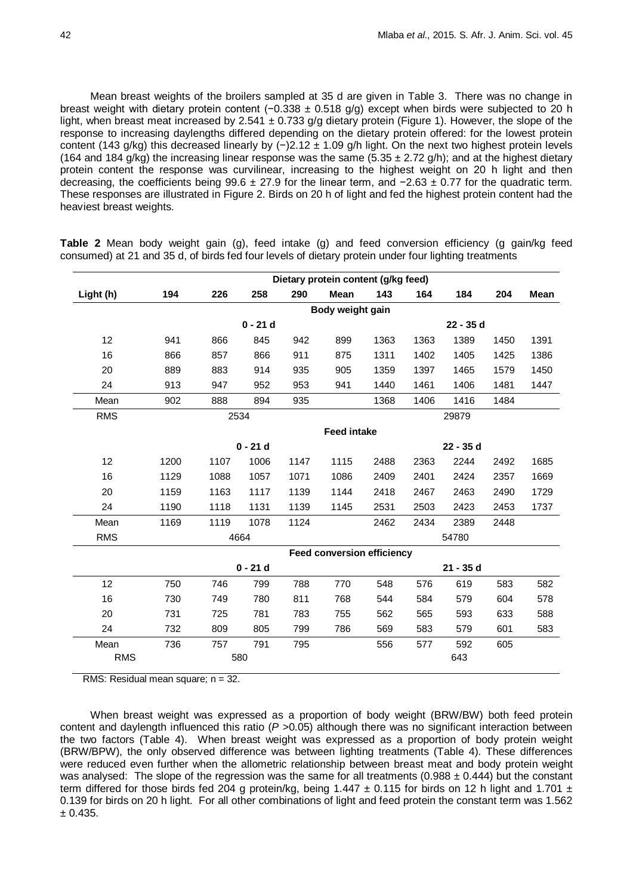Mean breast weights of the broilers sampled at 35 d are given in Table 3. There was no change in breast weight with dietary protein content (-0.338 ± 0.518 g/g) except when birds were subjected to 20 h light, when breast meat increased by 2.541  $\pm$  0.733 g/g dietary protein (Figure 1). However, the slope of the response to increasing daylengths differed depending on the dietary protein offered: for the lowest protein content (143 g/kg) this decreased linearly by (−)2.12 ± 1.09 g/h light. On the next two highest protein levels (164 and 184 g/kg) the increasing linear response was the same  $(5.35 \pm 2.72 \text{ g/h})$ ; and at the highest dietary protein content the response was curvilinear, increasing to the highest weight on 20 h light and then decreasing, the coefficients being 99.6 ± 27.9 for the linear term, and −2.63 ± 0.77 for the quadratic term. These responses are illustrated in Figure 2. Birds on 20 h of light and fed the highest protein content had the heaviest breast weights.

|            | Dietary protein content (g/kg feed) |      |            |      |                                   |                    |      |           |      |             |  |
|------------|-------------------------------------|------|------------|------|-----------------------------------|--------------------|------|-----------|------|-------------|--|
| Light (h)  | 194                                 | 226  | 258        | 290  | <b>Mean</b>                       | 143                | 164  | 184       | 204  | <b>Mean</b> |  |
|            | Body weight gain                    |      |            |      |                                   |                    |      |           |      |             |  |
|            |                                     |      | $0 - 21$ d |      |                                   |                    |      | 22 - 35 d |      |             |  |
| 12         | 941                                 | 866  | 845        | 942  | 899                               | 1363               | 1363 | 1389      | 1450 | 1391        |  |
| 16         | 866                                 | 857  | 866        | 911  | 875                               | 1311               | 1402 | 1405      | 1425 | 1386        |  |
| 20         | 889                                 | 883  | 914        | 935  | 905                               | 1359               | 1397 | 1465      | 1579 | 1450        |  |
| 24         | 913                                 | 947  | 952        | 953  | 941                               | 1440               | 1461 | 1406      | 1481 | 1447        |  |
| Mean       | 902                                 | 888  | 894        | 935  |                                   | 1368               | 1406 | 1416      | 1484 |             |  |
| <b>RMS</b> |                                     | 2534 |            |      |                                   |                    |      | 29879     |      |             |  |
|            |                                     |      |            |      |                                   | <b>Feed intake</b> |      |           |      |             |  |
|            | $0 - 21$ d                          |      |            |      |                                   | 22 - 35 d          |      |           |      |             |  |
| 12         | 1200                                | 1107 | 1006       | 1147 | 1115                              | 2488               | 2363 | 2244      | 2492 | 1685        |  |
| 16         | 1129                                | 1088 | 1057       | 1071 | 1086                              | 2409               | 2401 | 2424      | 2357 | 1669        |  |
| 20         | 1159                                | 1163 | 1117       | 1139 | 1144                              | 2418               | 2467 | 2463      | 2490 | 1729        |  |
| 24         | 1190                                | 1118 | 1131       | 1139 | 1145                              | 2531               | 2503 | 2423      | 2453 | 1737        |  |
| Mean       | 1169                                | 1119 | 1078       | 1124 |                                   | 2462               | 2434 | 2389      | 2448 |             |  |
| <b>RMS</b> |                                     |      | 4664       |      |                                   |                    |      | 54780     |      |             |  |
|            |                                     |      |            |      | <b>Feed conversion efficiency</b> |                    |      |           |      |             |  |
|            |                                     |      | $0 - 21$ d |      | 21 - 35 d                         |                    |      |           |      |             |  |
| 12         | 750                                 | 746  | 799        | 788  | 770                               | 548                | 576  | 619       | 583  | 582         |  |
| 16         | 730                                 | 749  | 780        | 811  | 768                               | 544                | 584  | 579       | 604  | 578         |  |
| 20         | 731                                 | 725  | 781        | 783  | 755                               | 562                | 565  | 593       | 633  | 588         |  |
| 24         | 732                                 | 809  | 805        | 799  | 786                               | 569                | 583  | 579       | 601  | 583         |  |
| Mean       | 736                                 | 757  | 791        | 795  |                                   | 556                | 577  | 592       | 605  |             |  |
| <b>RMS</b> |                                     |      | 580        |      |                                   |                    |      | 643       |      |             |  |

**Table 2** Mean body weight gain (g), feed intake (g) and feed conversion efficiency (g gain/kg feed consumed) at 21 and 35 d, of birds fed four levels of dietary protein under four lighting treatments

RMS: Residual mean square; n = 32.

When breast weight was expressed as a proportion of body weight (BRW/BW) both feed protein content and daylength influenced this ratio (*P* >0.05) although there was no significant interaction between the two factors (Table 4). When breast weight was expressed as a proportion of body protein weight (BRW/BPW), the only observed difference was between lighting treatments (Table 4). These differences were reduced even further when the allometric relationship between breast meat and body protein weight was analysed: The slope of the regression was the same for all treatments (0.988  $\pm$  0.444) but the constant term differed for those birds fed 204 g protein/kg, being 1.447  $\pm$  0.115 for birds on 12 h light and 1.701  $\pm$ 0.139 for birds on 20 h light. For all other combinations of light and feed protein the constant term was 1.562  $± 0.435.$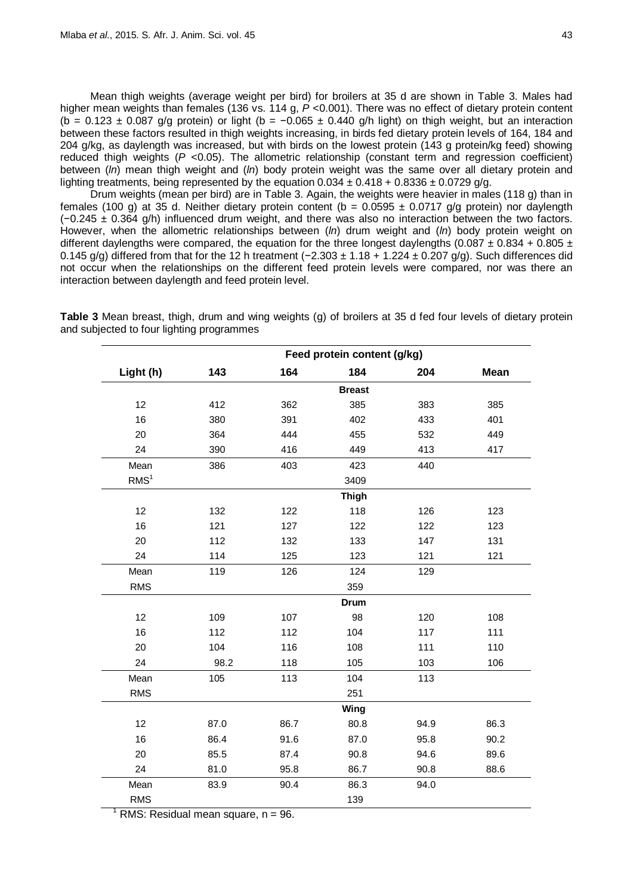Mean thigh weights (average weight per bird) for broilers at 35 d are shown in Table 3. Males had higher mean weights than females (136 vs. 114 g,  $P$  <0.001). There was no effect of dietary protein content (b =  $0.123 \pm 0.087$  g/g protein) or light (b =  $-0.065 \pm 0.440$  g/h light) on thigh weight, but an interaction between these factors resulted in thigh weights increasing, in birds fed dietary protein levels of 164, 184 and 204 g/kg, as daylength was increased, but with birds on the lowest protein (143 g protein/kg feed) showing reduced thigh weights (*P* <0.05). The allometric relationship (constant term and regression coefficient) between (*ln*) mean thigh weight and (*ln*) body protein weight was the same over all dietary protein and lighting treatments, being represented by the equation  $0.034 \pm 0.418 \pm 0.8336 \pm 0.0729$  g/g.

Drum weights (mean per bird) are in Table 3. Again, the weights were heavier in males (118 g) than in females (100 g) at 35 d. Neither dietary protein content (b =  $0.0595 \pm 0.0717$  g/g protein) nor daylength (−0.245 ± 0.364 g/h) influenced drum weight, and there was also no interaction between the two factors. However, when the allometric relationships between (*ln*) drum weight and (*ln*) body protein weight on different daylengths were compared, the equation for the three longest daylengths (0.087  $\pm$  0.834 + 0.805  $\pm$ 0.145 g/g) differed from that for the 12 h treatment (−2.303 ± 1.18 + 1.224 ± 0.207 g/g). Such differences did not occur when the relationships on the different feed protein levels were compared, nor was there an interaction between daylength and feed protein level.

|                  | Feed protein content (g/kg) |      |               |      |             |  |  |  |
|------------------|-----------------------------|------|---------------|------|-------------|--|--|--|
| Light (h)        | 143                         | 164  | 184           | 204  | <b>Mean</b> |  |  |  |
|                  |                             |      | <b>Breast</b> |      |             |  |  |  |
| 12               | 412                         | 362  | 385           | 383  | 385         |  |  |  |
| 16               | 380                         | 391  | 402           | 433  | 401         |  |  |  |
| 20               | 364                         | 444  | 455           | 532  | 449         |  |  |  |
| 24               | 390                         | 416  | 449           | 413  | 417         |  |  |  |
| Mean             | 386                         | 403  | 423           | 440  |             |  |  |  |
| RMS <sup>1</sup> |                             |      | 3409          |      |             |  |  |  |
|                  |                             |      | <b>Thigh</b>  |      |             |  |  |  |
| 12               | 132                         | 122  | 118           | 126  | 123         |  |  |  |
| 16               | 121                         | 127  | 122           | 122  | 123         |  |  |  |
| 20               | 112                         | 132  | 133           | 147  | 131         |  |  |  |
| 24               | 114                         | 125  | 123           | 121  | 121         |  |  |  |
| Mean             | 119                         | 126  | 124           | 129  |             |  |  |  |
| <b>RMS</b>       |                             |      | 359           |      |             |  |  |  |
|                  |                             |      | Drum          |      |             |  |  |  |
| 12               | 109                         | 107  | 98            | 120  | 108         |  |  |  |
| 16               | 112                         | 112  | 104           | 117  | 111         |  |  |  |
| 20               | 104                         | 116  | 108           | 111  | 110         |  |  |  |
| 24               | 98.2                        | 118  | 105           | 103  | 106         |  |  |  |
| Mean             | 105                         | 113  | 104           | 113  |             |  |  |  |
| <b>RMS</b>       |                             |      | 251           |      |             |  |  |  |
|                  |                             |      | Wing          |      |             |  |  |  |
| 12               | 87.0                        | 86.7 | 80.8          | 94.9 | 86.3        |  |  |  |
| 16               | 86.4                        | 91.6 | 87.0          | 95.8 | 90.2        |  |  |  |
| 20               | 85.5                        | 87.4 | 90.8          | 94.6 | 89.6        |  |  |  |
| 24               | 81.0                        | 95.8 | 86.7          | 90.8 | 88.6        |  |  |  |
| Mean             | 83.9                        | 90.4 | 86.3          | 94.0 |             |  |  |  |
| <b>RMS</b>       |                             |      | 139           |      |             |  |  |  |

**Table 3** Mean breast, thigh, drum and wing weights (g) of broilers at 35 d fed four levels of dietary protein and subjected to four lighting programmes

 $1$  RMS: Residual mean square,  $n = 96$ .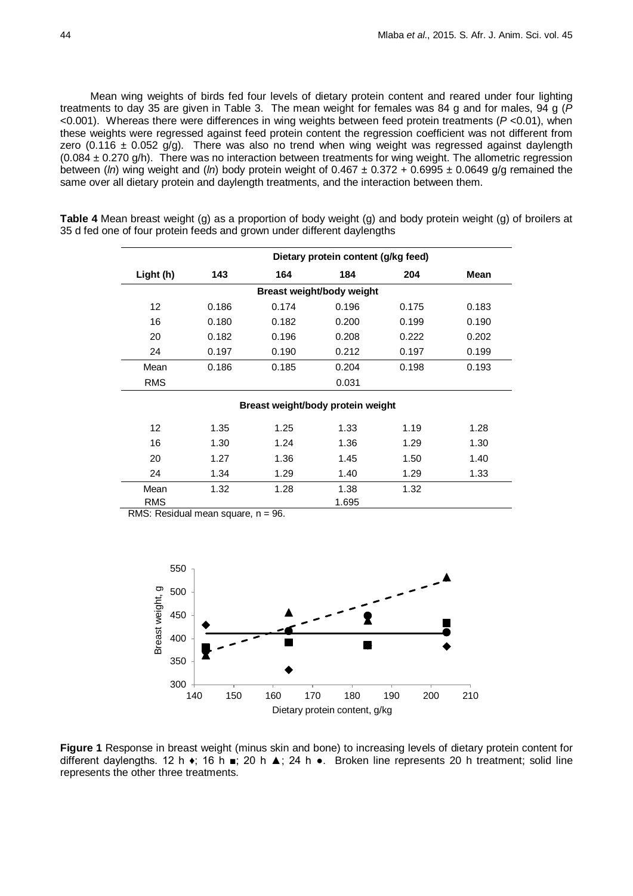Mean wing weights of birds fed four levels of dietary protein content and reared under four lighting treatments to day 35 are given in Table 3. The mean weight for females was 84 g and for males, 94 g (*P* <0.001). Whereas there were differences in wing weights between feed protein treatments (*P* <0.01), when these weights were regressed against feed protein content the regression coefficient was not different from zero (0.116  $\pm$  0.052 g/g). There was also no trend when wing weight was regressed against daylength  $(0.084 \pm 0.270 \text{ g/h})$ . There was no interaction between treatments for wing weight. The allometric regression between (*ln*) wing weight and (*ln*) body protein weight of  $0.467 \pm 0.372 + 0.6995 \pm 0.0649$  g/g remained the same over all dietary protein and daylength treatments, and the interaction between them.

|                                   | Dietary protein content (g/kg feed) |            |                           |       |       |  |  |  |  |
|-----------------------------------|-------------------------------------|------------|---------------------------|-------|-------|--|--|--|--|
| Light (h)                         | 143                                 | 164<br>184 |                           | 204   | Mean  |  |  |  |  |
|                                   |                                     |            | Breast weight/body weight |       |       |  |  |  |  |
| $12 \overline{ }$                 | 0.186                               | 0.174      | 0.196                     | 0.175 | 0.183 |  |  |  |  |
| 16                                | 0.180                               | 0.182      | 0.200                     | 0.199 | 0.190 |  |  |  |  |
| 20                                | 0.182                               | 0.196      | 0.208                     | 0.222 | 0.202 |  |  |  |  |
| 24                                | 0.197                               | 0.190      | 0.212                     | 0.197 | 0.199 |  |  |  |  |
| Mean                              | 0.186                               | 0.185      | 0.204                     | 0.198 | 0.193 |  |  |  |  |
| <b>RMS</b>                        |                                     |            | 0.031                     |       |       |  |  |  |  |
| Breast weight/body protein weight |                                     |            |                           |       |       |  |  |  |  |
|                                   |                                     |            |                           |       |       |  |  |  |  |
| $12 \overline{ }$                 | 1.35                                | 1.25       | 1.33                      | 1.19  | 1.28  |  |  |  |  |
| 16                                | 1.30                                | 1.24       | 1.36                      | 1.29  | 1.30  |  |  |  |  |
| 20                                | 1.27                                | 1.36       | 1.45                      | 1.50  | 1.40  |  |  |  |  |
| 24                                | 1.34                                | 1.29       | 1.40                      | 1.29  | 1.33  |  |  |  |  |
| Mean                              | 1.32                                | 1.28       | 1.38                      | 1.32  |       |  |  |  |  |
| <b>RMS</b>                        |                                     |            | 1.695                     |       |       |  |  |  |  |

**Table 4** Mean breast weight (g) as a proportion of body weight (g) and body protein weight (g) of broilers at 35 d fed one of four protein feeds and grown under different daylengths

RMS: Residual mean square, n = 96.



**Figure 1** Response in breast weight (minus skin and bone) to increasing levels of dietary protein content for different daylengths. 12 h ♦; 16 h ■; 20 h ▲; 24 h ●. Broken line represents 20 h treatment; solid line represents the other three treatments.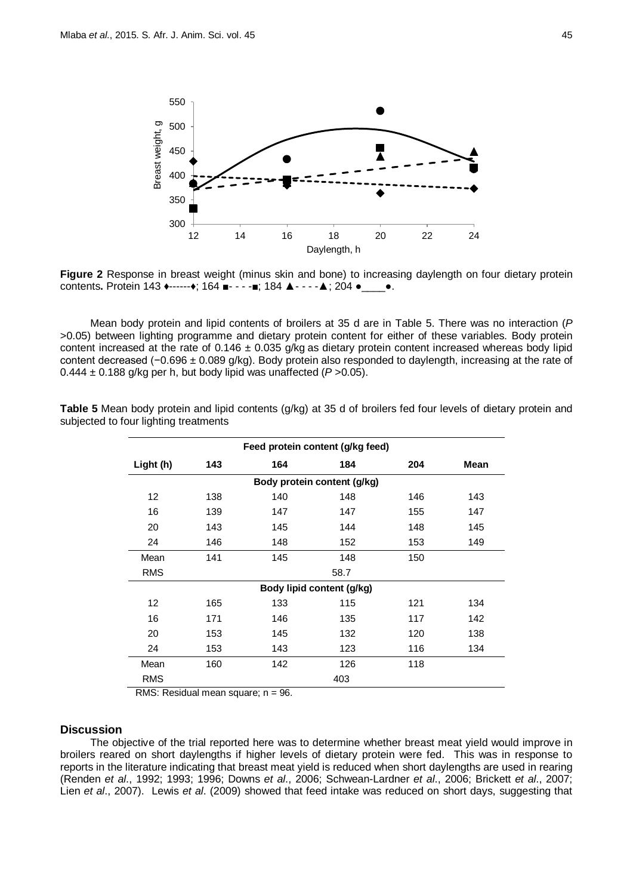

**Figure 2** Response in breast weight (minus skin and bone) to increasing daylength on four dietary protein contents. Protein 143 **◆-----◆**; 164 ■- - - ■; 184 ▲- - - - ▲; 204 ● \_\_\_●.

Mean body protein and lipid contents of broilers at 35 d are in Table 5. There was no interaction (*P* >0.05) between lighting programme and dietary protein content for either of these variables. Body protein content increased at the rate of  $0.146 \pm 0.035$  g/kg as dietary protein content increased whereas body lipid content decreased (−0.696 ± 0.089 g/kg). Body protein also responded to daylength, increasing at the rate of  $0.444 \pm 0.188$  g/kg per h, but body lipid was unaffected ( $P > 0.05$ ).

| Feed protein content (g/kg feed) |                           |     |      |     |             |  |  |  |  |
|----------------------------------|---------------------------|-----|------|-----|-------------|--|--|--|--|
| Light (h)                        | 143                       | 164 | 184  | 204 | <b>Mean</b> |  |  |  |  |
| Body protein content (g/kg)      |                           |     |      |     |             |  |  |  |  |
| 12                               | 138                       | 140 | 148  | 146 | 143         |  |  |  |  |
| 16                               | 139                       | 147 | 147  | 155 | 147         |  |  |  |  |
| 20                               | 143<br>145<br>144         |     | 148  | 145 |             |  |  |  |  |
| 24                               | 146                       | 148 | 152  | 153 | 149         |  |  |  |  |
| Mean                             | 141                       | 145 | 148  | 150 |             |  |  |  |  |
| <b>RMS</b>                       |                           |     | 58.7 |     |             |  |  |  |  |
|                                  | Body lipid content (g/kg) |     |      |     |             |  |  |  |  |
| 12                               | 165                       | 133 | 115  | 121 | 134         |  |  |  |  |
| 16                               | 171                       | 146 | 135  | 117 | 142         |  |  |  |  |
| 20                               | 153                       | 145 | 132  | 120 | 138         |  |  |  |  |
| 24                               | 153                       | 143 | 123  | 116 | 134         |  |  |  |  |
| Mean                             | 160                       | 142 | 126  | 118 |             |  |  |  |  |
| <b>RMS</b>                       |                           |     | 403  |     |             |  |  |  |  |

**Table 5** Mean body protein and lipid contents (g/kg) at 35 d of broilers fed four levels of dietary protein and subjected to four lighting treatments

RMS: Residual mean square; n = 96.

## **Discussion**

The objective of the trial reported here was to determine whether breast meat yield would improve in broilers reared on short daylengths if higher levels of dietary protein were fed. This was in response to reports in the literature indicating that breast meat yield is reduced when short daylengths are used in rearing (Renden *et al*., 1992; 1993; 1996; Downs *et al*., 2006; Schwean-Lardner *et al*., 2006; Brickett *et al*., 2007; Lien *et al*., 2007). Lewis *et al*. (2009) showed that feed intake was reduced on short days, suggesting that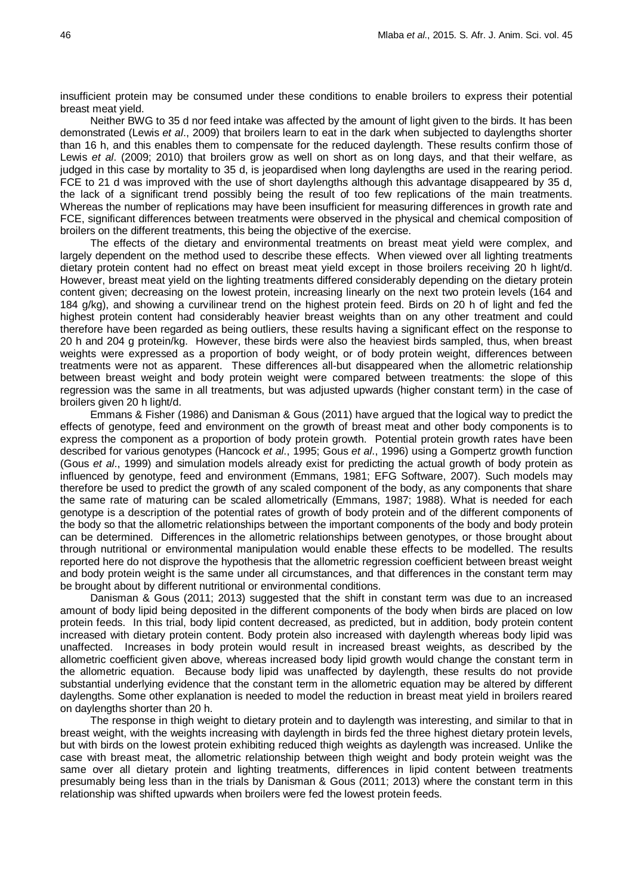insufficient protein may be consumed under these conditions to enable broilers to express their potential breast meat yield.

Neither BWG to 35 d nor feed intake was affected by the amount of light given to the birds. It has been demonstrated (Lewis *et al*., 2009) that broilers learn to eat in the dark when subjected to daylengths shorter than 16 h, and this enables them to compensate for the reduced daylength. These results confirm those of Lewis *et al*. (2009; 2010) that broilers grow as well on short as on long days, and that their welfare, as judged in this case by mortality to 35 d, is jeopardised when long daylengths are used in the rearing period. FCE to 21 d was improved with the use of short daylengths although this advantage disappeared by 35 d, the lack of a significant trend possibly being the result of too few replications of the main treatments. Whereas the number of replications may have been insufficient for measuring differences in growth rate and FCE, significant differences between treatments were observed in the physical and chemical composition of broilers on the different treatments, this being the objective of the exercise.

The effects of the dietary and environmental treatments on breast meat yield were complex, and largely dependent on the method used to describe these effects. When viewed over all lighting treatments dietary protein content had no effect on breast meat yield except in those broilers receiving 20 h light/d. However, breast meat yield on the lighting treatments differed considerably depending on the dietary protein content given; decreasing on the lowest protein, increasing linearly on the next two protein levels (164 and 184 g/kg), and showing a curvilinear trend on the highest protein feed. Birds on 20 h of light and fed the highest protein content had considerably heavier breast weights than on any other treatment and could therefore have been regarded as being outliers, these results having a significant effect on the response to 20 h and 204 g protein/kg. However, these birds were also the heaviest birds sampled, thus, when breast weights were expressed as a proportion of body weight, or of body protein weight, differences between treatments were not as apparent. These differences all-but disappeared when the allometric relationship between breast weight and body protein weight were compared between treatments: the slope of this regression was the same in all treatments, but was adjusted upwards (higher constant term) in the case of broilers given 20 h light/d.

Emmans & Fisher (1986) and Danisman & Gous (2011) have argued that the logical way to predict the effects of genotype, feed and environment on the growth of breast meat and other body components is to express the component as a proportion of body protein growth. Potential protein growth rates have been described for various genotypes (Hancock *et al*., 1995; Gous *et al*., 1996) using a Gompertz growth function (Gous *et al*., 1999) and simulation models already exist for predicting the actual growth of body protein as influenced by genotype, feed and environment (Emmans, 1981; EFG Software, 2007). Such models may therefore be used to predict the growth of any scaled component of the body, as any components that share the same rate of maturing can be scaled allometrically (Emmans, 1987; 1988). What is needed for each genotype is a description of the potential rates of growth of body protein and of the different components of the body so that the allometric relationships between the important components of the body and body protein can be determined. Differences in the allometric relationships between genotypes, or those brought about through nutritional or environmental manipulation would enable these effects to be modelled. The results reported here do not disprove the hypothesis that the allometric regression coefficient between breast weight and body protein weight is the same under all circumstances, and that differences in the constant term may be brought about by different nutritional or environmental conditions.

Danisman & Gous (2011; 2013) suggested that the shift in constant term was due to an increased amount of body lipid being deposited in the different components of the body when birds are placed on low protein feeds. In this trial, body lipid content decreased, as predicted, but in addition, body protein content increased with dietary protein content. Body protein also increased with daylength whereas body lipid was unaffected. Increases in body protein would result in increased breast weights, as described by the allometric coefficient given above, whereas increased body lipid growth would change the constant term in the allometric equation. Because body lipid was unaffected by daylength, these results do not provide substantial underlying evidence that the constant term in the allometric equation may be altered by different daylengths. Some other explanation is needed to model the reduction in breast meat yield in broilers reared on daylengths shorter than 20 h.

The response in thigh weight to dietary protein and to daylength was interesting, and similar to that in breast weight, with the weights increasing with daylength in birds fed the three highest dietary protein levels, but with birds on the lowest protein exhibiting reduced thigh weights as daylength was increased. Unlike the case with breast meat, the allometric relationship between thigh weight and body protein weight was the same over all dietary protein and lighting treatments, differences in lipid content between treatments presumably being less than in the trials by Danisman & Gous (2011; 2013) where the constant term in this relationship was shifted upwards when broilers were fed the lowest protein feeds.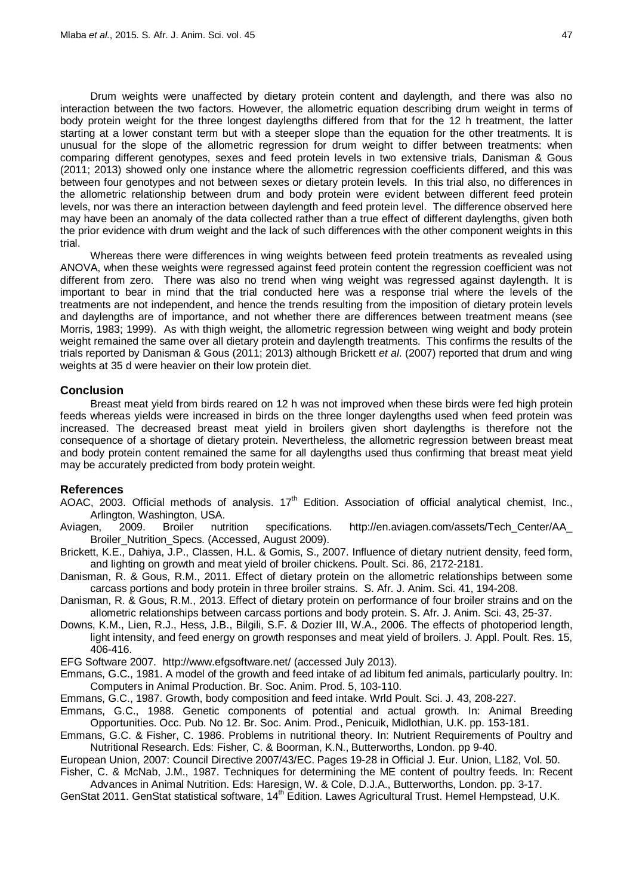Drum weights were unaffected by dietary protein content and daylength, and there was also no interaction between the two factors. However, the allometric equation describing drum weight in terms of body protein weight for the three longest daylengths differed from that for the 12 h treatment, the latter starting at a lower constant term but with a steeper slope than the equation for the other treatments. It is unusual for the slope of the allometric regression for drum weight to differ between treatments: when comparing different genotypes, sexes and feed protein levels in two extensive trials, Danisman & Gous (2011; 2013) showed only one instance where the allometric regression coefficients differed, and this was between four genotypes and not between sexes or dietary protein levels. In this trial also, no differences in the allometric relationship between drum and body protein were evident between different feed protein levels, nor was there an interaction between daylength and feed protein level. The difference observed here may have been an anomaly of the data collected rather than a true effect of different daylengths, given both the prior evidence with drum weight and the lack of such differences with the other component weights in this trial.

Whereas there were differences in wing weights between feed protein treatments as revealed using ANOVA, when these weights were regressed against feed protein content the regression coefficient was not different from zero. There was also no trend when wing weight was regressed against daylength. It is important to bear in mind that the trial conducted here was a response trial where the levels of the treatments are not independent, and hence the trends resulting from the imposition of dietary protein levels and daylengths are of importance, and not whether there are differences between treatment means (see Morris, 1983; 1999). As with thigh weight, the allometric regression between wing weight and body protein weight remained the same over all dietary protein and daylength treatments. This confirms the results of the trials reported by Danisman & Gous (2011; 2013) although Brickett *et al*. (2007) reported that drum and wing weights at 35 d were heavier on their low protein diet.

## **Conclusion**

Breast meat yield from birds reared on 12 h was not improved when these birds were fed high protein feeds whereas yields were increased in birds on the three longer daylengths used when feed protein was increased. The decreased breast meat yield in broilers given short daylengths is therefore not the consequence of a shortage of dietary protein. Nevertheless, the allometric regression between breast meat and body protein content remained the same for all daylengths used thus confirming that breast meat yield may be accurately predicted from body protein weight.

## **References**

- AOAC, 2003. Official methods of analysis.  $17<sup>th</sup>$  Edition. Association of official analytical chemist, Inc., Arlington, Washington, USA.
- Aviagen, 2009. Broiler nutrition specifications. http://en.aviagen.com/assets/Tech\_Center/AA\_ Broiler\_Nutrition\_Specs. (Accessed, August 2009).
- Brickett, K.E., Dahiya, J.P., Classen, H.L. & Gomis, S., 2007. Influence of dietary nutrient density, feed form, and lighting on growth and meat yield of broiler chickens. Poult. Sci. 86, 2172-2181.
- Danisman, R. & Gous, R.M., 2011. Effect of dietary protein on the allometric relationships between some carcass portions and body protein in three broiler strains. S. Afr. J. Anim. Sci. 41, 194-208.
- Danisman, R. & Gous, R.M., 2013. Effect of dietary protein on performance of four broiler strains and on the allometric relationships between carcass portions and body protein. S. Afr. J. Anim. Sci. 43, 25-37.
- Downs, K.M., Lien, R.J., Hess, J.B., Bilgili, S.F. & Dozier III, W.A., 2006. The effects of photoperiod length, light intensity, and feed energy on growth responses and meat yield of broilers. J. Appl. Poult. Res. 15, 406-416.
- EFG Software 2007. http://www.efgsoftware.net/ (accessed July 2013).
- Emmans, G.C., 1981. A model of the growth and feed intake of ad libitum fed animals, particularly poultry. In: Computers in Animal Production. Br. Soc. Anim. Prod. 5, 103-110.
- Emmans, G.C., 1987. Growth, body composition and feed intake. Wrld Poult. Sci. J. 43, 208-227.
- Emmans, G.C., 1988. Genetic components of potential and actual growth. In: Animal Breeding Opportunities. Occ. Pub. No 12. Br. Soc. Anim. Prod., Penicuik, Midlothian, U.K. pp. 153-181.
- Emmans, G.C. & Fisher, C. 1986. Problems in nutritional theory. In: Nutrient Requirements of Poultry and Nutritional Research. Eds: Fisher, C. & Boorman, K.N., Butterworths, London. pp 9-40.
- European Union, 2007: Council Directive 2007/43/EC. Pages 19-28 in Official J. Eur. Union, L182, Vol. 50.
- Fisher, C. & McNab, J.M., 1987. Techniques for determining the ME content of poultry feeds. In: Recent Advances in Animal Nutrition. Eds: Haresign, W. & Cole, D.J.A., Butterworths, London. pp. 3-17.
- GenStat 2011. GenStat statistical software, 14<sup>th</sup> Edition. Lawes Agricultural Trust. Hemel Hempstead, U.K.